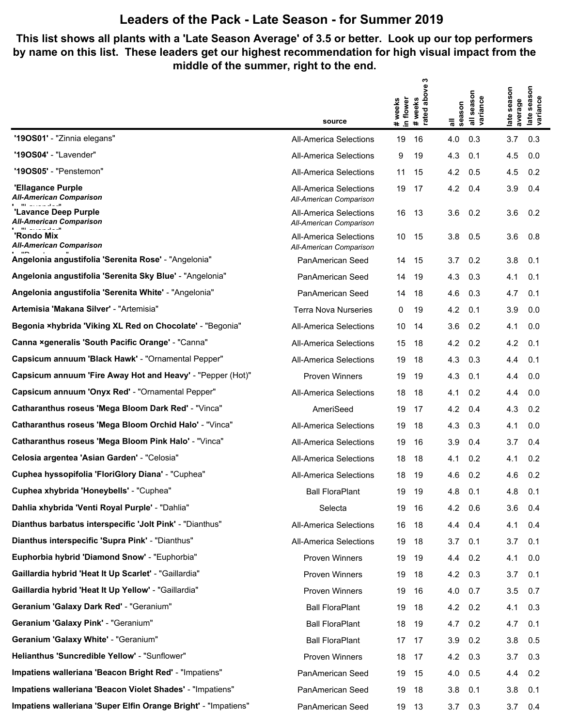## **Leaders of the Pack - Late Season - for Summer 2019**

## **This list shows all plants with a 'Late Season Average' of 3.5 or better. Look up our top performers by name on this list. These leaders get our highest recommendation for high visual impact from the middle of the summer, right to the end.**

**rated above 3**

|                                                                | source                                                   | above<br># weeks<br>in flower<br>weeks<br>#weel<br>rated | season<br>variance<br>season<br>$\bar{a}$<br>゠ | late season<br>variance<br>season<br>average<br>late |
|----------------------------------------------------------------|----------------------------------------------------------|----------------------------------------------------------|------------------------------------------------|------------------------------------------------------|
| "190S01' - "Zinnia elegans"                                    | <b>All-America Selections</b>                            | 19<br>16                                                 | 4.0<br>0.3                                     | 3.7<br>0.3                                           |
| '190S04' - "Lavender"                                          | <b>All-America Selections</b>                            | 9<br>19                                                  | 4.3<br>0.1                                     | 4.5<br>0.0                                           |
| <b>'19OS05'</b> - "Penstemon"                                  | <b>All-America Selections</b>                            | 11<br>15                                                 | 4.2<br>0.5                                     | 4.5<br>0.2                                           |
| 'Ellagance Purple<br><b>All-American Comparison</b>            | <b>All-America Selections</b><br>All-American Comparison | 19<br>17                                                 | 4.2<br>0.4                                     | 3.9<br>0.4                                           |
| 'Lavance Deep Purple<br>All-American Comparison                | All-America Selections<br>All-American Comparison        | 16<br>13                                                 | 0.2<br>3.6                                     | 3.6<br>0.2                                           |
| 'Rondo Mix<br><b>All-American Comparison</b>                   | <b>All-America Selections</b><br>All-American Comparison | 15<br>10                                                 | 3.8<br>0.5                                     | 3.6<br>0.8                                           |
| Angelonia angustifolia 'Serenita Rose' - "Angelonia"           | PanAmerican Seed                                         | 15<br>14                                                 | 3.7<br>0.2                                     | 3.8<br>0.1                                           |
| Angelonia angustifolia 'Serenita Sky Blue' - "Angelonia"       | PanAmerican Seed                                         | 19<br>14                                                 | 4.3<br>0.3                                     | 4.1<br>0.1                                           |
| Angelonia angustifolia 'Serenita White' - "Angelonia"          | PanAmerican Seed                                         | 14<br>18                                                 | 4.6<br>0.3                                     | 4.7<br>0.1                                           |
| Artemisia 'Makana Silver' - "Artemisia"                        | <b>Terra Nova Nurseries</b>                              | 0<br>19                                                  | 4.2<br>0.1                                     | 3.9<br>0.0                                           |
| Begonia ×hybrida 'Viking XL Red on Chocolate' - "Begonia"      | <b>All-America Selections</b>                            | 10<br>14                                                 | 3.6<br>0.2                                     | 4.1<br>0.0                                           |
| Canna ×generalis 'South Pacific Orange' - "Canna"              | <b>All-America Selections</b>                            | 15<br>18                                                 | 4.2<br>0.2                                     | 4.2<br>0.1                                           |
| Capsicum annuum 'Black Hawk' - "Ornamental Pepper"             | <b>All-America Selections</b>                            | 19<br>18                                                 | 4.3<br>0.3                                     | 4.4<br>0.1                                           |
| Capsicum annuum 'Fire Away Hot and Heavy' - "Pepper (Hot)"     | <b>Proven Winners</b>                                    | 19<br>19                                                 | 4.3<br>0.1                                     | 4.4<br>0.0                                           |
| Capsicum annuum 'Onyx Red' - "Ornamental Pepper"               | <b>All-America Selections</b>                            | 18<br>18                                                 | 0.2<br>4.1                                     | 4.4<br>0.0                                           |
| Catharanthus roseus 'Mega Bloom Dark Red' - "Vinca"            | AmeriSeed                                                | 19<br>17                                                 | 4.2<br>0.4                                     | 4.3<br>0.2                                           |
| Catharanthus roseus 'Mega Bloom Orchid Halo' - "Vinca"         | <b>All-America Selections</b>                            | 19<br>18                                                 | 4.3<br>0.3                                     | 0.0<br>4.1                                           |
| Catharanthus roseus 'Mega Bloom Pink Halo' - "Vinca"           | <b>All-America Selections</b>                            | 19<br>16                                                 | 3.9<br>0.4                                     | 3.7<br>0.4                                           |
| Celosia argentea 'Asian Garden' - "Celosia"                    | <b>All-America Selections</b>                            | 18<br>18                                                 | 0.2<br>4.1                                     | 0.2<br>4.1                                           |
| Cuphea hyssopifolia 'FloriGlory Diana' - "Cuphea"              | <b>All-America Selections</b>                            | 18<br>19                                                 | 0.2<br>4.6                                     | 4.6<br>0.2                                           |
| Cuphea xhybrida 'Honeybells' - "Cuphea"                        | <b>Ball FloraPlant</b>                                   | 19<br>19                                                 | 4.8<br>0.1                                     | 4.8<br>0.1                                           |
| Dahlia xhybrida 'Venti Royal Purple' - "Dahlia"                | Selecta                                                  | 19<br>16                                                 | 4.2<br>0.6                                     | 3.6<br>0.4                                           |
| Dianthus barbatus interspecific 'Jolt Pink' - "Dianthus"       | <b>All-America Selections</b>                            | 16<br>18                                                 | 0.4<br>4.4                                     | 4.1<br>0.4                                           |
| Dianthus interspecific 'Supra Pink' - "Dianthus"               | All-America Selections                                   | 18<br>19                                                 | 3.7<br>0.1                                     | 3.7<br>0.1                                           |
| Euphorbia hybrid 'Diamond Snow' - "Euphorbia"                  | Proven Winners                                           | 19<br>19                                                 | 0.2<br>4.4                                     | 0.0<br>4.1                                           |
| Gaillardia hybrid 'Heat It Up Scarlet' - "Gaillardia"          | Proven Winners                                           | 19<br>18                                                 | 4.2<br>0.3                                     | 3.7<br>0.1                                           |
| Gaillardia hybrid 'Heat It Up Yellow' - "Gaillardia"           | Proven Winners                                           | 19<br>16                                                 | 4.0<br>0.7                                     | 3.5<br>0.7                                           |
| Geranium 'Galaxy Dark Red' - "Geranium"                        | <b>Ball FloraPlant</b>                                   | 19<br>18                                                 | 4.2<br>0.2                                     | 0.3<br>4.1                                           |
| Geranium 'Galaxy Pink' - "Geranium"                            | <b>Ball FloraPlant</b>                                   | 18<br>19                                                 | 4.7<br>0.2                                     | 4.7<br>0.1                                           |
| Geranium 'Galaxy White' - "Geranium"                           | <b>Ball FloraPlant</b>                                   | 17<br>17                                                 | 3.9<br>0.2                                     | 0.5<br>3.8                                           |
| Helianthus 'Suncredible Yellow' - "Sunflower"                  | Proven Winners                                           | 18<br>17                                                 | 4.2<br>0.3                                     | 0.3<br>3.7                                           |
| Impatiens walleriana 'Beacon Bright Red' - "Impatiens"         | PanAmerican Seed                                         | 19<br>15                                                 | 4.0<br>0.5                                     | 0.2<br>4.4                                           |
| Impatiens walleriana 'Beacon Violet Shades' - "Impatiens"      | PanAmerican Seed                                         | 19<br>18                                                 | 3.8<br>0.1                                     | 0.1<br>3.8                                           |
| Impatiens walleriana 'Super Elfin Orange Bright' - "Impatiens" | PanAmerican Seed                                         | 19<br>13                                                 | 3.7<br>0.3                                     | 0.4<br>3.7                                           |